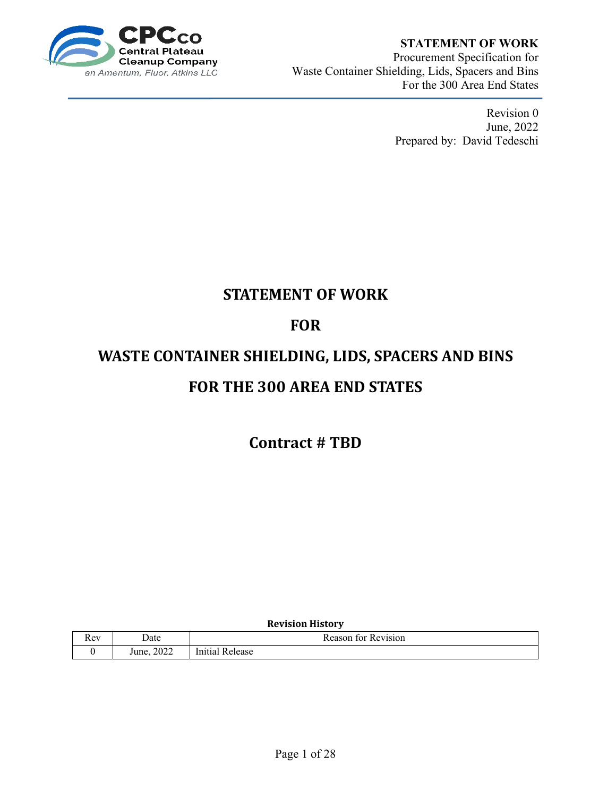

## **STATEMENT OF WORK**<br>ateau

Procurement Specification for Waste Container Shielding, Lids, Spacers and Bins For the 300 Area End States

> Revision 0 June, 2022 Prepared by: David Tedeschi

## **STATEMENT OF WORK**

## **FOR**

# **WASTE CONTAINER SHIELDING, LIDS, SPACERS AND BINS FOR THE 300 AREA END STATES**

**Contract # TBD**

#### **Revision History**

| $-1$<br>TTC. | Date                  | eason<br>'evision'<br>TOL<br> |  |  |  |
|--------------|-----------------------|-------------------------------|--|--|--|
|              | 0.000<br>ZUZZ<br>June | In.<br>:Iease<br>1112.        |  |  |  |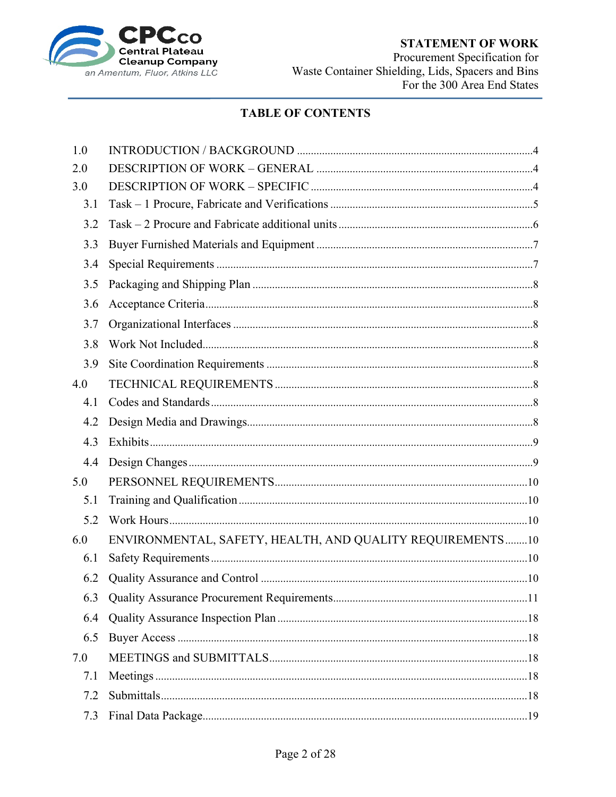

### **STATEMENT OF WORK**

Procurement Specification for Waste Container Shielding, Lids, Spacers and Bins<br>For the 300 Area End States

## **TABLE OF CONTENTS**

| 1.0 |                                                           |  |
|-----|-----------------------------------------------------------|--|
| 2.0 |                                                           |  |
| 3.0 |                                                           |  |
| 3.1 |                                                           |  |
| 3.2 |                                                           |  |
| 3.3 |                                                           |  |
| 3.4 |                                                           |  |
| 3.5 |                                                           |  |
| 3.6 |                                                           |  |
| 3.7 |                                                           |  |
| 3.8 |                                                           |  |
| 3.9 |                                                           |  |
| 4.0 |                                                           |  |
| 4.1 |                                                           |  |
| 4.2 |                                                           |  |
| 4.3 |                                                           |  |
| 4.4 |                                                           |  |
| 5.0 |                                                           |  |
| 5.1 |                                                           |  |
| 5.2 |                                                           |  |
| 6.0 | ENVIRONMENTAL, SAFETY, HEALTH, AND QUALITY REQUIREMENTS10 |  |
| 6.1 |                                                           |  |
| 6.2 |                                                           |  |
|     |                                                           |  |
| 6.4 |                                                           |  |
| 6.5 |                                                           |  |
| 7.0 |                                                           |  |
| 7.1 |                                                           |  |
| 7.2 |                                                           |  |
| 7.3 |                                                           |  |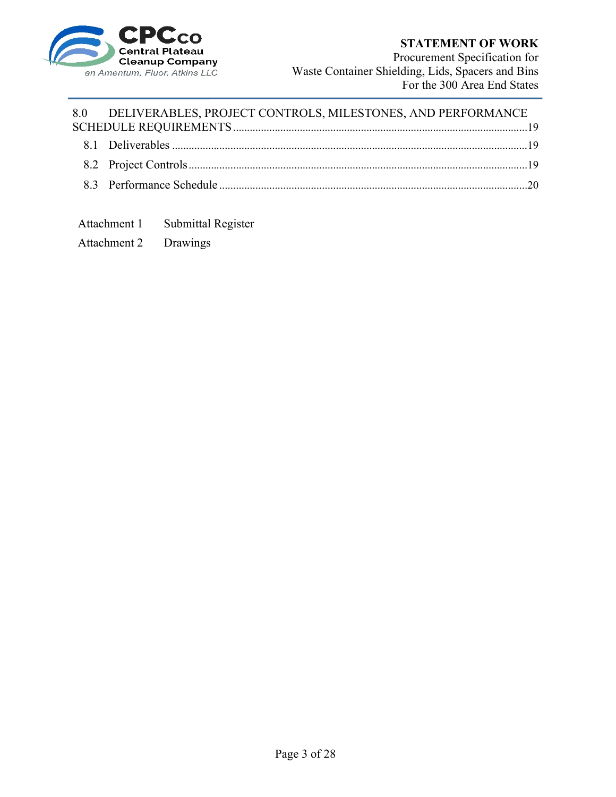

Procurement Specification for Waste Container Shielding, Lids, Spacers and Bins For the 300 Area End States

## 8.0 DELIVERABLES, PROJECT CONTROLS, MILESTONES, AND PERFORMANCE

Attachment 1 Submittal Register

Attachment 2 Drawings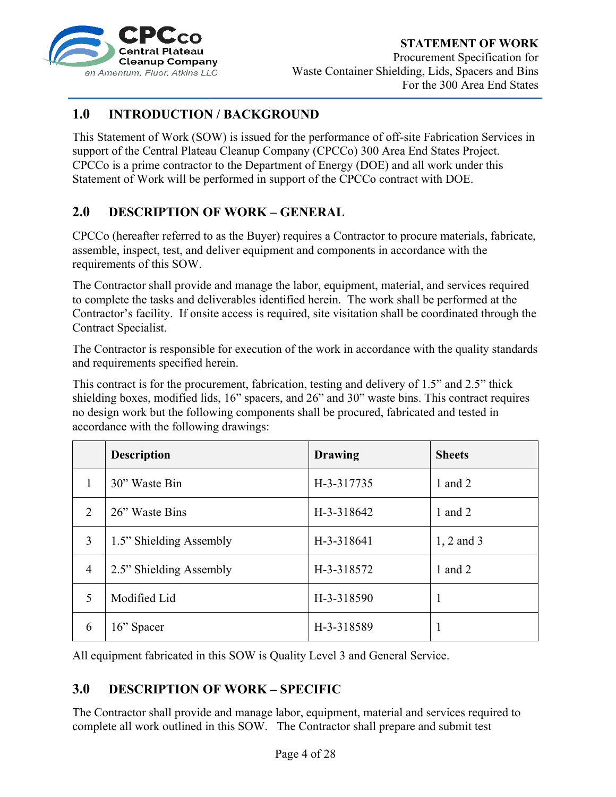

#### **STATEMENT OF WORK**

Procurement Specification for Waste Container Shielding, Lids, Spacers and Bins For the 300 Area End States

### **1.0 INTRODUCTION / BACKGROUND**

This Statement of Work (SOW) is issued for the performance of off-site Fabrication Services in support of the Central Plateau Cleanup Company (CPCCo) 300 Area End States Project. CPCCo is a prime contractor to the Department of Energy (DOE) and all work under this Statement of Work will be performed in support of the CPCCo contract with DOE.

### **2.0 DESCRIPTION OF WORK – GENERAL**

CPCCo (hereafter referred to as the Buyer) requires a Contractor to procure materials, fabricate, assemble, inspect, test, and deliver equipment and components in accordance with the requirements of this SOW.

The Contractor shall provide and manage the labor, equipment, material, and services required to complete the tasks and deliverables identified herein. The work shall be performed at the Contractor's facility. If onsite access is required, site visitation shall be coordinated through the Contract Specialist.

The Contractor is responsible for execution of the work in accordance with the quality standards and requirements specified herein.

This contract is for the procurement, fabrication, testing and delivery of 1.5" and 2.5" thick shielding boxes, modified lids, 16" spacers, and 26" and 30" waste bins. This contract requires no design work but the following components shall be procured, fabricated and tested in accordance with the following drawings:

|                | <b>Description</b>      | <b>Drawing</b> | <b>Sheets</b> |
|----------------|-------------------------|----------------|---------------|
| 1              | 30" Waste Bin           | H-3-317735     | 1 and $2$     |
| 2              | 26" Waste Bins          | H-3-318642     | 1 and $2$     |
| 3              | 1.5" Shielding Assembly | H-3-318641     | 1, 2 and 3    |
| $\overline{4}$ | 2.5" Shielding Assembly | H-3-318572     | 1 and $2$     |
| 5              | Modified Lid            | H-3-318590     |               |
| 6              | 16" Spacer              | H-3-318589     |               |

All equipment fabricated in this SOW is Quality Level 3 and General Service.

### **3.0 DESCRIPTION OF WORK – SPECIFIC**

The Contractor shall provide and manage labor, equipment, material and services required to complete all work outlined in this SOW. The Contractor shall prepare and submit test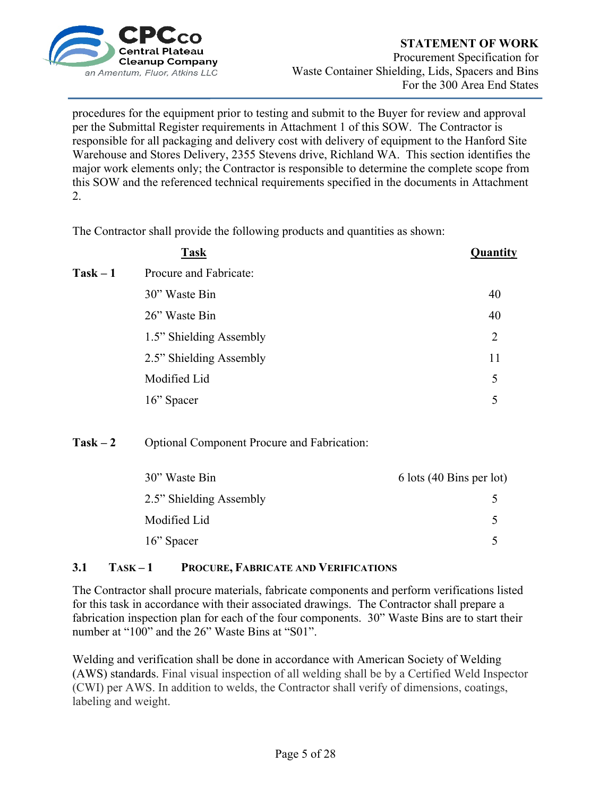

procedures for the equipment prior to testing and submit to the Buyer for review and approval per the Submittal Register requirements in Attachment 1 of this SOW. The Contractor is responsible for all packaging and delivery cost with delivery of equipment to the Hanford Site Warehouse and Stores Delivery, 2355 Stevens drive, Richland WA. This section identifies the major work elements only; the Contractor is responsible to determine the complete scope from this SOW and the referenced technical requirements specified in the documents in Attachment 2.

The Contractor shall provide the following products and quantities as shown:

|            | <b>Task</b>             | Quantity |
|------------|-------------------------|----------|
| $Task - 1$ | Procure and Fabricate:  |          |
|            | 30" Waste Bin           | 40       |
|            | 26" Waste Bin           | 40       |
|            | 1.5" Shielding Assembly | 2        |
|            | 2.5" Shielding Assembly | 11       |
|            | Modified Lid            | 5        |
|            | 16" Spacer              | 5        |
|            |                         |          |

#### **Task – 2** Optional Component Procure and Fabrication:

| 30" Waste Bin           | 6 lots (40 Bins per lot) |
|-------------------------|--------------------------|
| 2.5" Shielding Assembly |                          |
| Modified Lid            |                          |
| 16" Spacer              |                          |

#### **3.1 TASK – 1 PROCURE, FABRICATE AND VERIFICATIONS**

The Contractor shall procure materials, fabricate components and perform verifications listed for this task in accordance with their associated drawings. The Contractor shall prepare a fabrication inspection plan for each of the four components. 30" Waste Bins are to start their number at "100" and the 26" Waste Bins at "S01".

Welding and verification shall be done in accordance with American Society of Welding (AWS) standards. Final visual inspection of all welding shall be by a Certified Weld Inspector (CWI) per AWS. In addition to welds, the Contractor shall verify of dimensions, coatings, labeling and weight.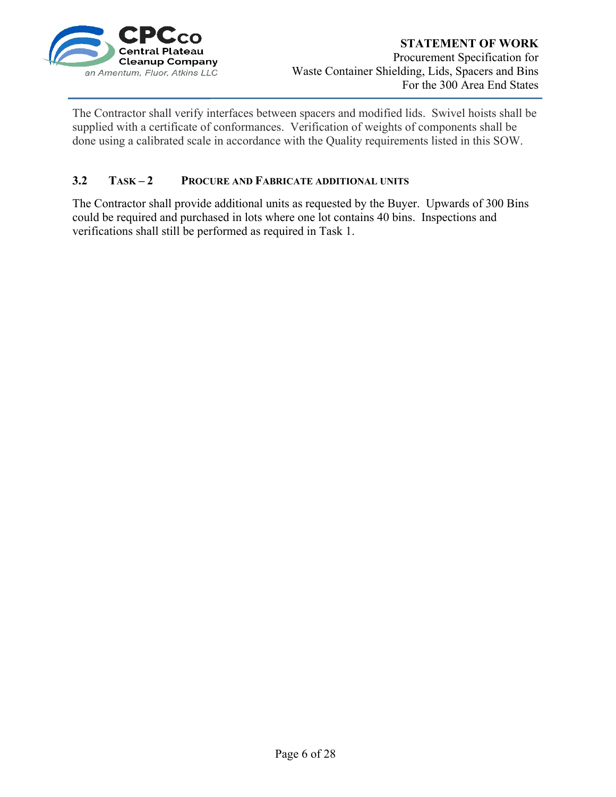

The Contractor shall verify interfaces between spacers and modified lids. Swivel hoists shall be supplied with a certificate of conformances. Verification of weights of components shall be done using a calibrated scale in accordance with the Quality requirements listed in this SOW.

#### **3.2 TASK – 2 PROCURE AND FABRICATE ADDITIONAL UNITS**

The Contractor shall provide additional units as requested by the Buyer. Upwards of 300 Bins could be required and purchased in lots where one lot contains 40 bins. Inspections and verifications shall still be performed as required in Task 1.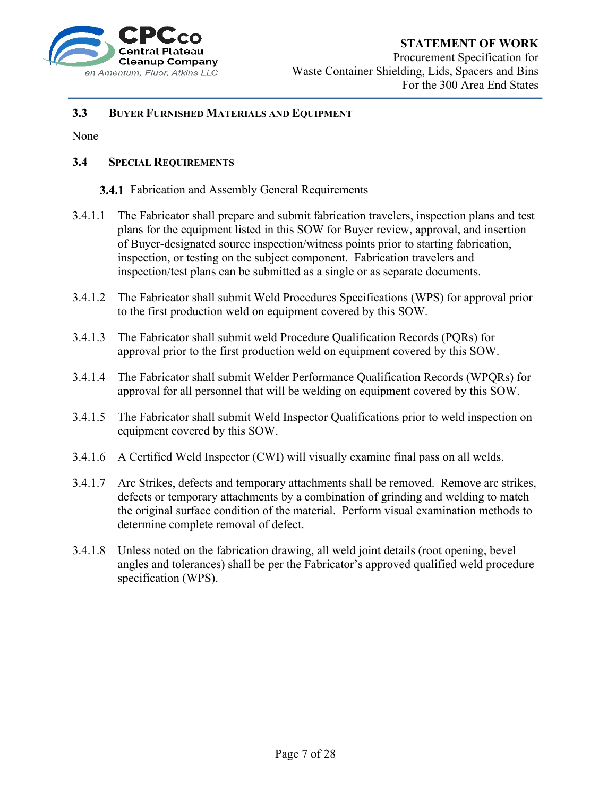

#### **STATEMENT OF WORK**

Procurement Specification for Waste Container Shielding, Lids, Spacers and Bins For the 300 Area End States

#### **3.3 BUYER FURNISHED MATERIALS AND EQUIPMENT**

None

#### **3.4 SPECIAL REQUIREMENTS**

#### **3.4.1** Fabrication and Assembly General Requirements

- 3.4.1.1 The Fabricator shall prepare and submit fabrication travelers, inspection plans and test plans for the equipment listed in this SOW for Buyer review, approval, and insertion of Buyer-designated source inspection/witness points prior to starting fabrication, inspection, or testing on the subject component. Fabrication travelers and inspection/test plans can be submitted as a single or as separate documents.
- 3.4.1.2 The Fabricator shall submit Weld Procedures Specifications (WPS) for approval prior to the first production weld on equipment covered by this SOW.
- 3.4.1.3 The Fabricator shall submit weld Procedure Qualification Records (PQRs) for approval prior to the first production weld on equipment covered by this SOW.
- 3.4.1.4 The Fabricator shall submit Welder Performance Qualification Records (WPQRs) for approval for all personnel that will be welding on equipment covered by this SOW.
- 3.4.1.5 The Fabricator shall submit Weld Inspector Qualifications prior to weld inspection on equipment covered by this SOW.
- 3.4.1.6 A Certified Weld Inspector (CWI) will visually examine final pass on all welds.
- 3.4.1.7 Arc Strikes, defects and temporary attachments shall be removed. Remove arc strikes, defects or temporary attachments by a combination of grinding and welding to match the original surface condition of the material. Perform visual examination methods to determine complete removal of defect.
- 3.4.1.8 Unless noted on the fabrication drawing, all weld joint details (root opening, bevel angles and tolerances) shall be per the Fabricator's approved qualified weld procedure specification (WPS).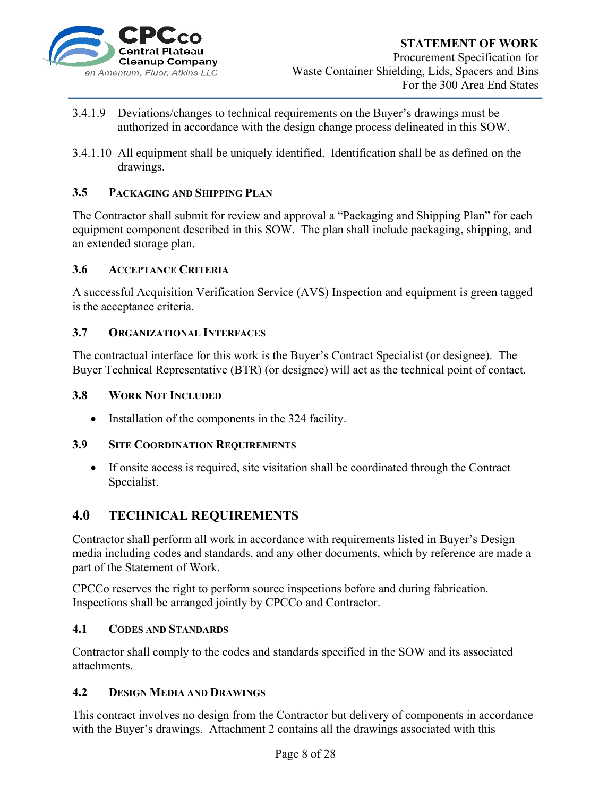

- 3.4.1.9 Deviations/changes to technical requirements on the Buyer's drawings must be authorized in accordance with the design change process delineated in this SOW.
- 3.4.1.10 All equipment shall be uniquely identified. Identification shall be as defined on the drawings.

#### **3.5 PACKAGING AND SHIPPING PLAN**

The Contractor shall submit for review and approval a "Packaging and Shipping Plan" for each equipment component described in this SOW. The plan shall include packaging, shipping, and an extended storage plan.

#### **3.6 ACCEPTANCE CRITERIA**

A successful Acquisition Verification Service (AVS) Inspection and equipment is green tagged is the acceptance criteria.

#### **3.7 ORGANIZATIONAL INTERFACES**

The contractual interface for this work is the Buyer's Contract Specialist (or designee). The Buyer Technical Representative (BTR) (or designee) will act as the technical point of contact.

#### **3.8 WORK NOT INCLUDED**

• Installation of the components in the 324 facility.

#### **3.9 SITE COORDINATION REQUIREMENTS**

 If onsite access is required, site visitation shall be coordinated through the Contract Specialist.

#### **4.0 TECHNICAL REQUIREMENTS**

Contractor shall perform all work in accordance with requirements listed in Buyer's Design media including codes and standards, and any other documents, which by reference are made a part of the Statement of Work.

CPCCo reserves the right to perform source inspections before and during fabrication. Inspections shall be arranged jointly by CPCCo and Contractor.

#### **4.1 CODES AND STANDARDS**

Contractor shall comply to the codes and standards specified in the SOW and its associated attachments.

#### **4.2 DESIGN MEDIA AND DRAWINGS**

This contract involves no design from the Contractor but delivery of components in accordance with the Buyer's drawings. Attachment 2 contains all the drawings associated with this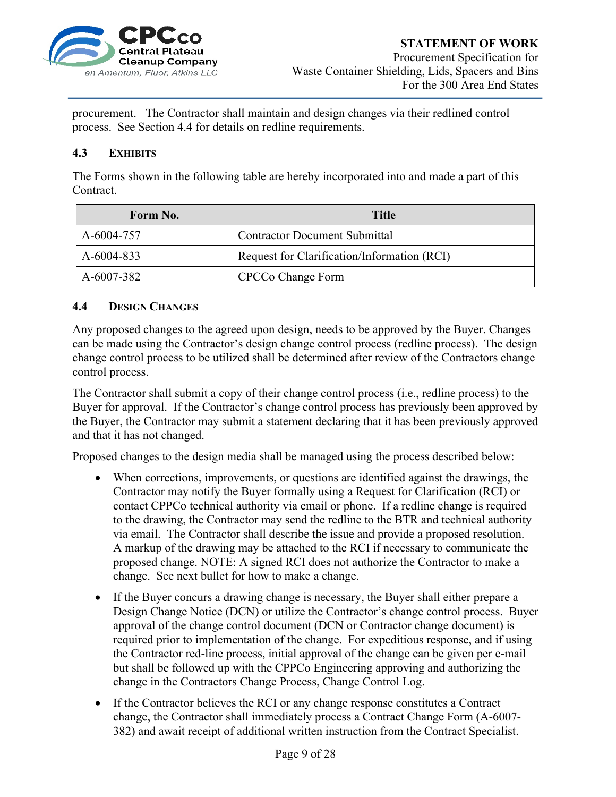

procurement. The Contractor shall maintain and design changes via their redlined control process. See Section 4.4 for details on redline requirements.

#### **4.3 EXHIBITS**

The Forms shown in the following table are hereby incorporated into and made a part of this Contract.

| Form No.   | Title                                       |
|------------|---------------------------------------------|
| A-6004-757 | <b>Contractor Document Submittal</b>        |
| A-6004-833 | Request for Clarification/Information (RCI) |
| A-6007-382 | <b>CPCCo Change Form</b>                    |

#### **4.4 DESIGN CHANGES**

Any proposed changes to the agreed upon design, needs to be approved by the Buyer. Changes can be made using the Contractor's design change control process (redline process). The design change control process to be utilized shall be determined after review of the Contractors change control process.

The Contractor shall submit a copy of their change control process (i.e., redline process) to the Buyer for approval. If the Contractor's change control process has previously been approved by the Buyer, the Contractor may submit a statement declaring that it has been previously approved and that it has not changed.

Proposed changes to the design media shall be managed using the process described below:

- When corrections, improvements, or questions are identified against the drawings, the Contractor may notify the Buyer formally using a Request for Clarification (RCI) or contact CPPCo technical authority via email or phone. If a redline change is required to the drawing, the Contractor may send the redline to the BTR and technical authority via email. The Contractor shall describe the issue and provide a proposed resolution. A markup of the drawing may be attached to the RCI if necessary to communicate the proposed change. NOTE: A signed RCI does not authorize the Contractor to make a change. See next bullet for how to make a change.
- If the Buyer concurs a drawing change is necessary, the Buyer shall either prepare a Design Change Notice (DCN) or utilize the Contractor's change control process. Buyer approval of the change control document (DCN or Contractor change document) is required prior to implementation of the change. For expeditious response, and if using the Contractor red-line process, initial approval of the change can be given per e-mail but shall be followed up with the CPPCo Engineering approving and authorizing the change in the Contractors Change Process, Change Control Log.
- If the Contractor believes the RCI or any change response constitutes a Contract change, the Contractor shall immediately process a Contract Change Form (A-6007- 382) and await receipt of additional written instruction from the Contract Specialist.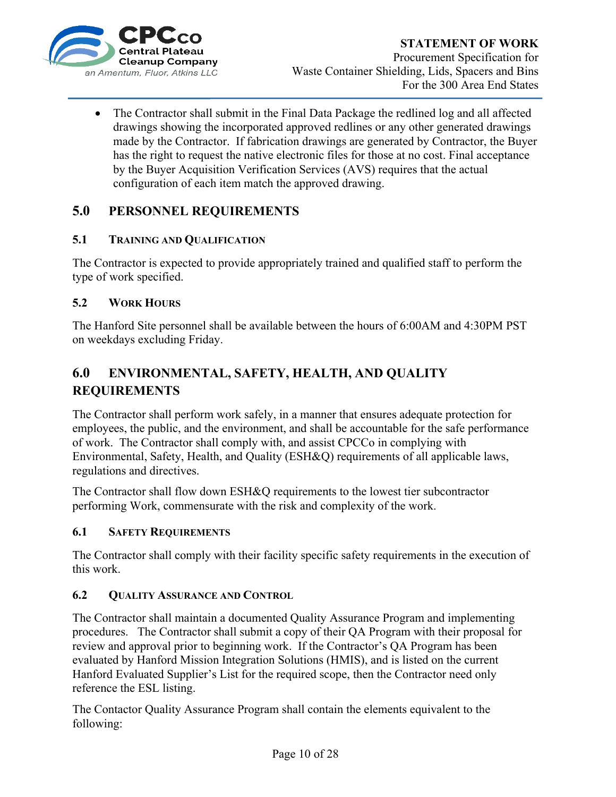

• The Contractor shall submit in the Final Data Package the redlined log and all affected drawings showing the incorporated approved redlines or any other generated drawings made by the Contractor. If fabrication drawings are generated by Contractor, the Buyer has the right to request the native electronic files for those at no cost. Final acceptance by the Buyer Acquisition Verification Services (AVS) requires that the actual configuration of each item match the approved drawing.

### **5.0 PERSONNEL REQUIREMENTS**

#### **5.1 TRAINING AND QUALIFICATION**

The Contractor is expected to provide appropriately trained and qualified staff to perform the type of work specified.

#### **5.2 WORK HOURS**

The Hanford Site personnel shall be available between the hours of 6:00AM and 4:30PM PST on weekdays excluding Friday.

## **6.0 ENVIRONMENTAL, SAFETY, HEALTH, AND QUALITY REQUIREMENTS**

The Contractor shall perform work safely, in a manner that ensures adequate protection for employees, the public, and the environment, and shall be accountable for the safe performance of work. The Contractor shall comply with, and assist CPCCo in complying with Environmental, Safety, Health, and Quality (ESH&Q) requirements of all applicable laws, regulations and directives.

The Contractor shall flow down ESH&Q requirements to the lowest tier subcontractor performing Work, commensurate with the risk and complexity of the work.

#### **6.1 SAFETY REQUIREMENTS**

The Contractor shall comply with their facility specific safety requirements in the execution of this work.

#### **6.2 QUALITY ASSURANCE AND CONTROL**

The Contractor shall maintain a documented Quality Assurance Program and implementing procedures. The Contractor shall submit a copy of their QA Program with their proposal for review and approval prior to beginning work. If the Contractor's QA Program has been evaluated by Hanford Mission Integration Solutions (HMIS), and is listed on the current Hanford Evaluated Supplier's List for the required scope, then the Contractor need only reference the ESL listing.

The Contactor Quality Assurance Program shall contain the elements equivalent to the following: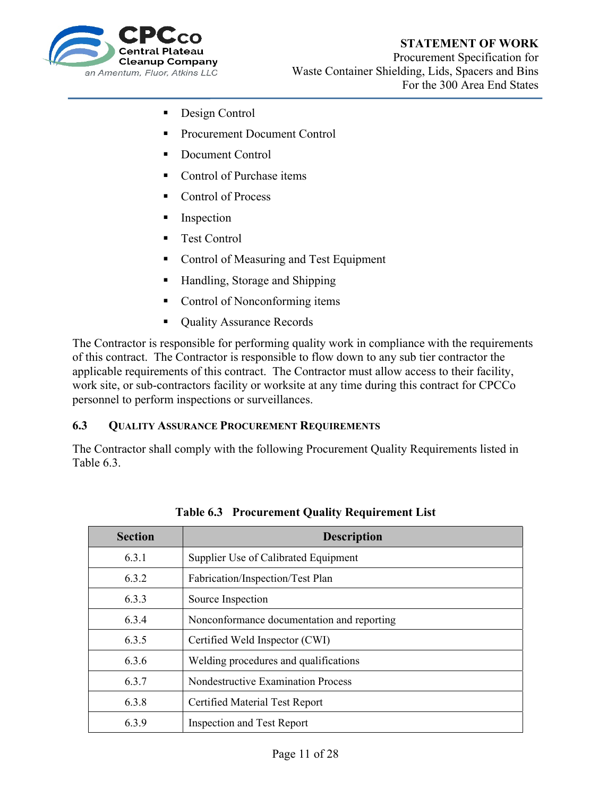#### **STATEMENT OF WORK**



Procurement Specification for Waste Container Shielding, Lids, Spacers and Bins For the 300 Area End States

- Design Control
- Procurement Document Control
- Document Control
- Control of Purchase items
- Control of Process
- **Inspection**
- Test Control
- Control of Measuring and Test Equipment
- Handling, Storage and Shipping
- Control of Nonconforming items
- Quality Assurance Records

The Contractor is responsible for performing quality work in compliance with the requirements of this contract. The Contractor is responsible to flow down to any sub tier contractor the applicable requirements of this contract. The Contractor must allow access to their facility, work site, or sub-contractors facility or worksite at any time during this contract for CPCCo personnel to perform inspections or surveillances.

#### **6.3 QUALITY ASSURANCE PROCUREMENT REQUIREMENTS**

The Contractor shall comply with the following Procurement Quality Requirements listed in Table 6.3.

| <b>Section</b> | <b>Description</b>                         |
|----------------|--------------------------------------------|
| 6.3.1          | Supplier Use of Calibrated Equipment       |
| 6.3.2          | Fabrication/Inspection/Test Plan           |
| 6.3.3          | Source Inspection                          |
| 6.3.4          | Nonconformance documentation and reporting |
| 6.3.5          | Certified Weld Inspector (CWI)             |
| 6.3.6          | Welding procedures and qualifications      |
| 6.3.7          | <b>Nondestructive Examination Process</b>  |
| 6.3.8          | Certified Material Test Report             |
| 6.3.9          | <b>Inspection and Test Report</b>          |

**Table 6.3 Procurement Quality Requirement List**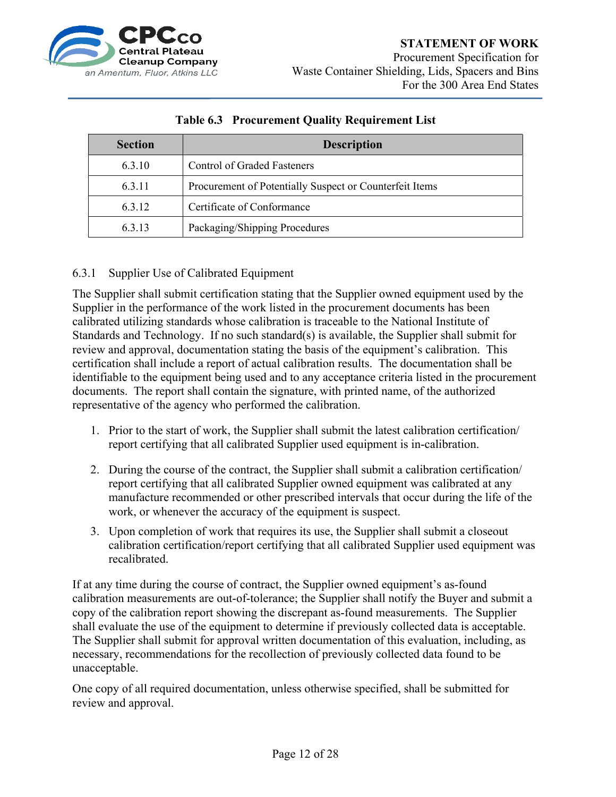

| <b>Section</b> | <b>Description</b>                                      |
|----------------|---------------------------------------------------------|
| 6.3.10         | <b>Control of Graded Fasteners</b>                      |
| 6.3.11         | Procurement of Potentially Suspect or Counterfeit Items |
| 6.3.12         | Certificate of Conformance                              |
| 6.3.13         | Packaging/Shipping Procedures                           |

#### **Table 6.3 Procurement Quality Requirement List**

#### 6.3.1 Supplier Use of Calibrated Equipment

The Supplier shall submit certification stating that the Supplier owned equipment used by the Supplier in the performance of the work listed in the procurement documents has been calibrated utilizing standards whose calibration is traceable to the National Institute of Standards and Technology. If no such standard $(s)$  is available, the Supplier shall submit for review and approval, documentation stating the basis of the equipment's calibration. This certification shall include a report of actual calibration results. The documentation shall be identifiable to the equipment being used and to any acceptance criteria listed in the procurement documents. The report shall contain the signature, with printed name, of the authorized representative of the agency who performed the calibration.

- 1. Prior to the start of work, the Supplier shall submit the latest calibration certification/ report certifying that all calibrated Supplier used equipment is in-calibration.
- 2. During the course of the contract, the Supplier shall submit a calibration certification/ report certifying that all calibrated Supplier owned equipment was calibrated at any manufacture recommended or other prescribed intervals that occur during the life of the work, or whenever the accuracy of the equipment is suspect.
- 3. Upon completion of work that requires its use, the Supplier shall submit a closeout calibration certification/report certifying that all calibrated Supplier used equipment was recalibrated.

If at any time during the course of contract, the Supplier owned equipment's as-found calibration measurements are out-of-tolerance; the Supplier shall notify the Buyer and submit a copy of the calibration report showing the discrepant as-found measurements. The Supplier shall evaluate the use of the equipment to determine if previously collected data is acceptable. The Supplier shall submit for approval written documentation of this evaluation, including, as necessary, recommendations for the recollection of previously collected data found to be unacceptable.

One copy of all required documentation, unless otherwise specified, shall be submitted for review and approval.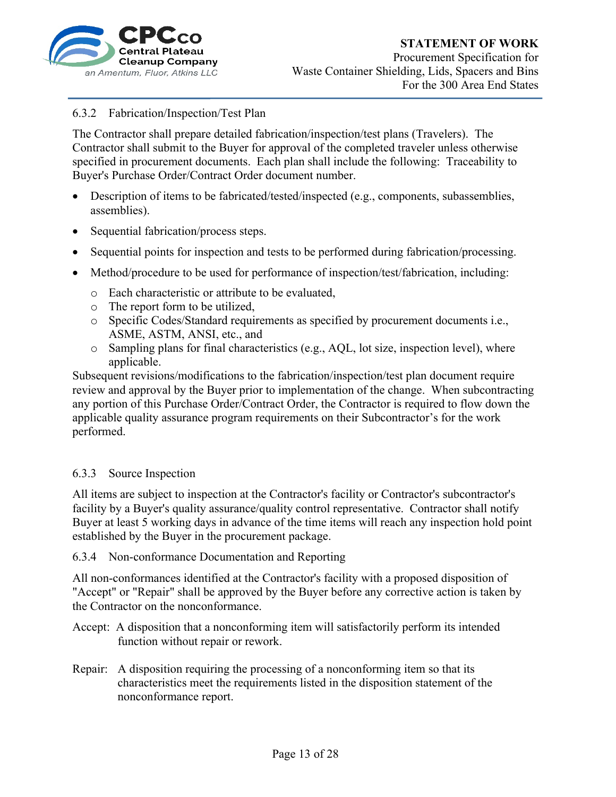

#### 6.3.2 Fabrication/Inspection/Test Plan

The Contractor shall prepare detailed fabrication/inspection/test plans (Travelers). The Contractor shall submit to the Buyer for approval of the completed traveler unless otherwise specified in procurement documents. Each plan shall include the following: Traceability to Buyer's Purchase Order/Contract Order document number.

- Description of items to be fabricated/tested/inspected (e.g., components, subassemblies, assemblies).
- Sequential fabrication/process steps.
- Sequential points for inspection and tests to be performed during fabrication/processing.
- Method/procedure to be used for performance of inspection/test/fabrication, including:
	- o Each characteristic or attribute to be evaluated,
	- o The report form to be utilized,
	- o Specific Codes/Standard requirements as specified by procurement documents i.e., ASME, ASTM, ANSI, etc., and
	- o Sampling plans for final characteristics (e.g., AQL, lot size, inspection level), where applicable.

Subsequent revisions/modifications to the fabrication/inspection/test plan document require review and approval by the Buyer prior to implementation of the change. When subcontracting any portion of this Purchase Order/Contract Order, the Contractor is required to flow down the applicable quality assurance program requirements on their Subcontractor's for the work performed.

#### 6.3.3 Source Inspection

All items are subject to inspection at the Contractor's facility or Contractor's subcontractor's facility by a Buyer's quality assurance/quality control representative. Contractor shall notify Buyer at least 5 working days in advance of the time items will reach any inspection hold point established by the Buyer in the procurement package.

#### 6.3.4 Non-conformance Documentation and Reporting

All non-conformances identified at the Contractor's facility with a proposed disposition of "Accept" or "Repair" shall be approved by the Buyer before any corrective action is taken by the Contractor on the nonconformance.

- Accept: A disposition that a nonconforming item will satisfactorily perform its intended function without repair or rework.
- Repair: A disposition requiring the processing of a nonconforming item so that its characteristics meet the requirements listed in the disposition statement of the nonconformance report.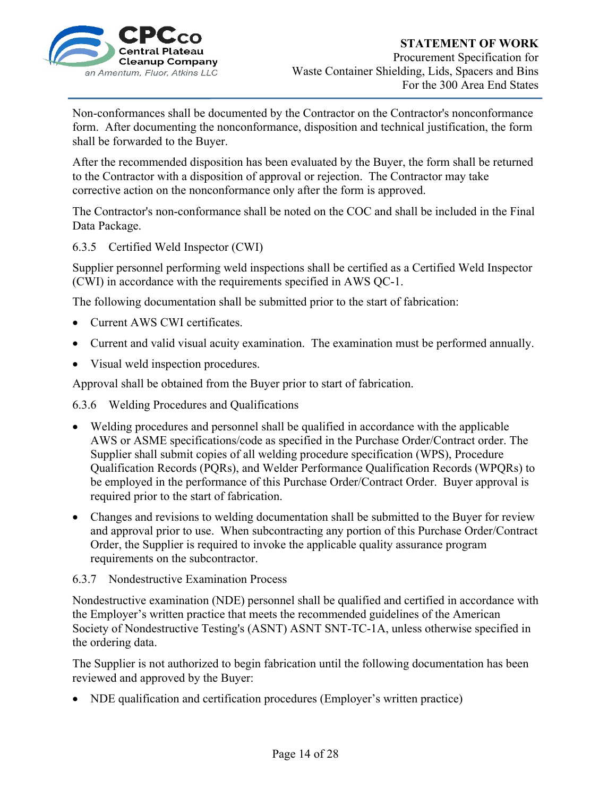

Non-conformances shall be documented by the Contractor on the Contractor's nonconformance form. After documenting the nonconformance, disposition and technical justification, the form shall be forwarded to the Buyer.

After the recommended disposition has been evaluated by the Buyer, the form shall be returned to the Contractor with a disposition of approval or rejection. The Contractor may take corrective action on the nonconformance only after the form is approved.

The Contractor's non-conformance shall be noted on the COC and shall be included in the Final Data Package.

#### 6.3.5 Certified Weld Inspector (CWI)

Supplier personnel performing weld inspections shall be certified as a Certified Weld Inspector (CWI) in accordance with the requirements specified in AWS QC-1.

The following documentation shall be submitted prior to the start of fabrication:

- Current AWS CWI certificates.
- Current and valid visual acuity examination. The examination must be performed annually.
- Visual weld inspection procedures.

Approval shall be obtained from the Buyer prior to start of fabrication.

6.3.6 Welding Procedures and Qualifications

- Welding procedures and personnel shall be qualified in accordance with the applicable AWS or ASME specifications/code as specified in the Purchase Order/Contract order. The Supplier shall submit copies of all welding procedure specification (WPS), Procedure Qualification Records (PQRs), and Welder Performance Qualification Records (WPQRs) to be employed in the performance of this Purchase Order/Contract Order. Buyer approval is required prior to the start of fabrication.
- Changes and revisions to welding documentation shall be submitted to the Buyer for review and approval prior to use. When subcontracting any portion of this Purchase Order/Contract Order, the Supplier is required to invoke the applicable quality assurance program requirements on the subcontractor.

#### 6.3.7 Nondestructive Examination Process

Nondestructive examination (NDE) personnel shall be qualified and certified in accordance with the Employer's written practice that meets the recommended guidelines of the American Society of Nondestructive Testing's (ASNT) ASNT SNT-TC-1A, unless otherwise specified in the ordering data.

The Supplier is not authorized to begin fabrication until the following documentation has been reviewed and approved by the Buyer:

NDE qualification and certification procedures (Employer's written practice)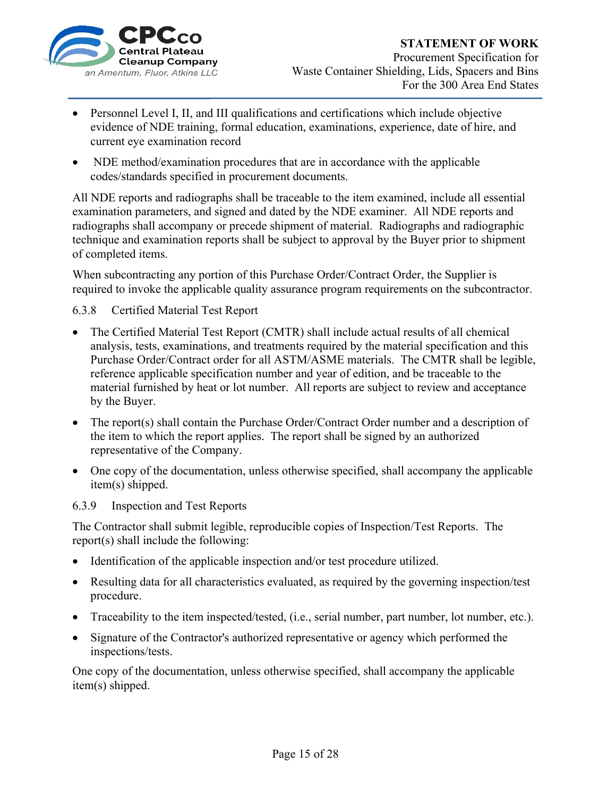

- Personnel Level I, II, and III qualifications and certifications which include objective evidence of NDE training, formal education, examinations, experience, date of hire, and current eye examination record
- NDE method/examination procedures that are in accordance with the applicable codes/standards specified in procurement documents.

All NDE reports and radiographs shall be traceable to the item examined, include all essential examination parameters, and signed and dated by the NDE examiner. All NDE reports and radiographs shall accompany or precede shipment of material. Radiographs and radiographic technique and examination reports shall be subject to approval by the Buyer prior to shipment of completed items.

When subcontracting any portion of this Purchase Order/Contract Order, the Supplier is required to invoke the applicable quality assurance program requirements on the subcontractor.

#### 6.3.8 Certified Material Test Report

- The Certified Material Test Report (CMTR) shall include actual results of all chemical analysis, tests, examinations, and treatments required by the material specification and this Purchase Order/Contract order for all ASTM/ASME materials. The CMTR shall be legible, reference applicable specification number and year of edition, and be traceable to the material furnished by heat or lot number. All reports are subject to review and acceptance by the Buyer.
- The report(s) shall contain the Purchase Order/Contract Order number and a description of the item to which the report applies. The report shall be signed by an authorized representative of the Company.
- One copy of the documentation, unless otherwise specified, shall accompany the applicable item(s) shipped.

#### 6.3.9 Inspection and Test Reports

The Contractor shall submit legible, reproducible copies of Inspection/Test Reports. The report(s) shall include the following:

- Identification of the applicable inspection and/or test procedure utilized.
- Resulting data for all characteristics evaluated, as required by the governing inspection/test procedure.
- Traceability to the item inspected/tested, (i.e., serial number, part number, lot number, etc.).
- Signature of the Contractor's authorized representative or agency which performed the inspections/tests.

One copy of the documentation, unless otherwise specified, shall accompany the applicable item(s) shipped.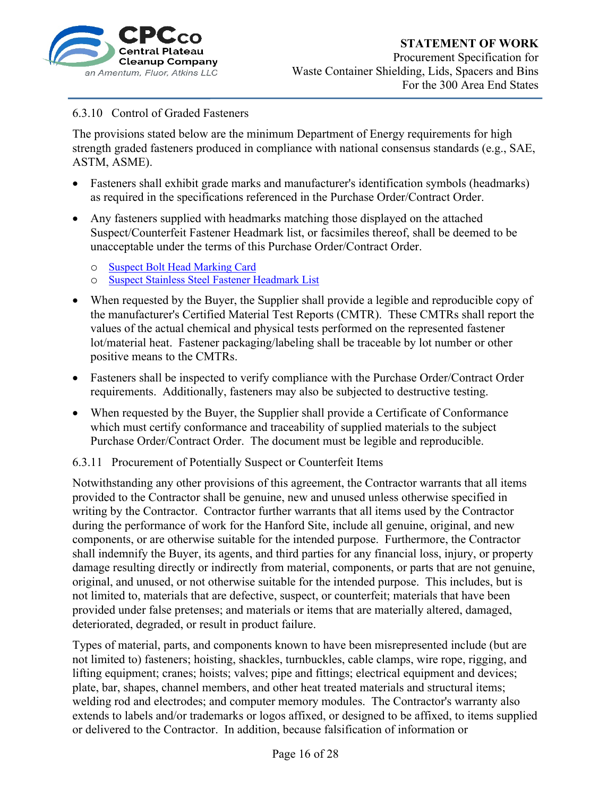

## **STATEMENT OF WORK**  Procurement Specification for

Waste Container Shielding, Lids, Spacers and Bins For the 300 Area End States

#### 6.3.10 Control of Graded Fasteners

The provisions stated below are the minimum Department of Energy requirements for high strength graded fasteners produced in compliance with national consensus standards (e.g., SAE, ASTM, ASME).

- Fasteners shall exhibit grade marks and manufacturer's identification symbols (headmarks) as required in the specifications referenced in the Purchase Order/Contract Order.
- Any fasteners supplied with headmarks matching those displayed on the attached Suspect/Counterfeit Fastener Headmark list, or facsimiles thereof, shall be deemed to be unacceptable under the terms of this Purchase Order/Contract Order.
	- o Suspect Bolt Head Marking Card
	- o Suspect Stainless Steel Fastener Headmark List
- When requested by the Buyer, the Supplier shall provide a legible and reproducible copy of the manufacturer's Certified Material Test Reports (CMTR). These CMTRs shall report the values of the actual chemical and physical tests performed on the represented fastener lot/material heat. Fastener packaging/labeling shall be traceable by lot number or other positive means to the CMTRs.
- Fasteners shall be inspected to verify compliance with the Purchase Order/Contract Order requirements. Additionally, fasteners may also be subjected to destructive testing.
- When requested by the Buyer, the Supplier shall provide a Certificate of Conformance which must certify conformance and traceability of supplied materials to the subject Purchase Order/Contract Order. The document must be legible and reproducible.
- 6.3.11 Procurement of Potentially Suspect or Counterfeit Items

Notwithstanding any other provisions of this agreement, the Contractor warrants that all items provided to the Contractor shall be genuine, new and unused unless otherwise specified in writing by the Contractor. Contractor further warrants that all items used by the Contractor during the performance of work for the Hanford Site, include all genuine, original, and new components, or are otherwise suitable for the intended purpose. Furthermore, the Contractor shall indemnify the Buyer, its agents, and third parties for any financial loss, injury, or property damage resulting directly or indirectly from material, components, or parts that are not genuine, original, and unused, or not otherwise suitable for the intended purpose. This includes, but is not limited to, materials that are defective, suspect, or counterfeit; materials that have been provided under false pretenses; and materials or items that are materially altered, damaged, deteriorated, degraded, or result in product failure.

Types of material, parts, and components known to have been misrepresented include (but are not limited to) fasteners; hoisting, shackles, turnbuckles, cable clamps, wire rope, rigging, and lifting equipment; cranes; hoists; valves; pipe and fittings; electrical equipment and devices; plate, bar, shapes, channel members, and other heat treated materials and structural items; welding rod and electrodes; and computer memory modules. The Contractor's warranty also extends to labels and/or trademarks or logos affixed, or designed to be affixed, to items supplied or delivered to the Contractor. In addition, because falsification of information or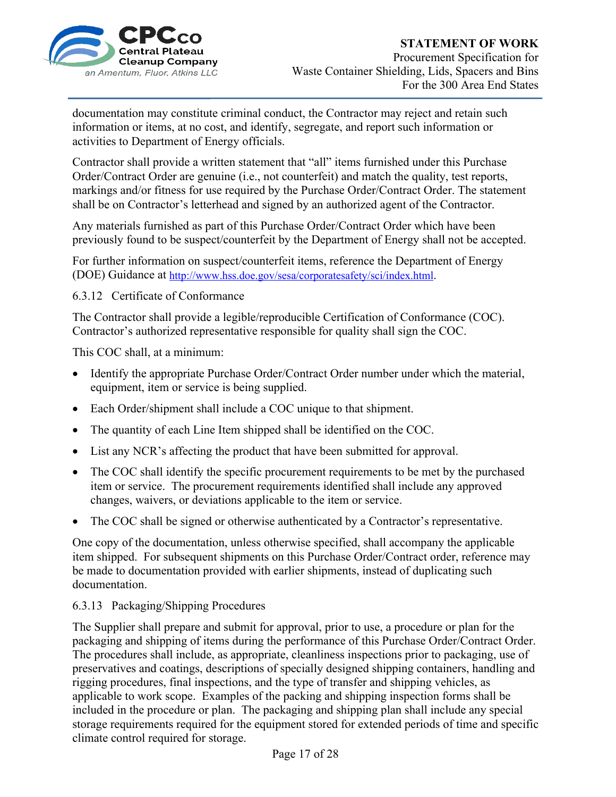

#### **STATEMENT OF WORK**

Procurement Specification for Waste Container Shielding, Lids, Spacers and Bins For the 300 Area End States

documentation may constitute criminal conduct, the Contractor may reject and retain such information or items, at no cost, and identify, segregate, and report such information or activities to Department of Energy officials.

Contractor shall provide a written statement that "all" items furnished under this Purchase Order/Contract Order are genuine (i.e., not counterfeit) and match the quality, test reports, markings and/or fitness for use required by the Purchase Order/Contract Order. The statement shall be on Contractor's letterhead and signed by an authorized agent of the Contractor.

Any materials furnished as part of this Purchase Order/Contract Order which have been previously found to be suspect/counterfeit by the Department of Energy shall not be accepted.

For further information on suspect/counterfeit items, reference the Department of Energy (DOE) Guidance at http://www.hss.doe.gov/sesa/corporatesafety/sci/index.html.

6.3.12 Certificate of Conformance

The Contractor shall provide a legible/reproducible Certification of Conformance (COC). Contractor's authorized representative responsible for quality shall sign the COC.

This COC shall, at a minimum:

- Identify the appropriate Purchase Order/Contract Order number under which the material, equipment, item or service is being supplied.
- Each Order/shipment shall include a COC unique to that shipment.
- The quantity of each Line Item shipped shall be identified on the COC.
- List any NCR's affecting the product that have been submitted for approval.
- The COC shall identify the specific procurement requirements to be met by the purchased item or service. The procurement requirements identified shall include any approved changes, waivers, or deviations applicable to the item or service.
- The COC shall be signed or otherwise authenticated by a Contractor's representative.

One copy of the documentation, unless otherwise specified, shall accompany the applicable item shipped. For subsequent shipments on this Purchase Order/Contract order, reference may be made to documentation provided with earlier shipments, instead of duplicating such documentation.

#### 6.3.13 Packaging/Shipping Procedures

The Supplier shall prepare and submit for approval, prior to use, a procedure or plan for the packaging and shipping of items during the performance of this Purchase Order/Contract Order. The procedures shall include, as appropriate, cleanliness inspections prior to packaging, use of preservatives and coatings, descriptions of specially designed shipping containers, handling and rigging procedures, final inspections, and the type of transfer and shipping vehicles, as applicable to work scope. Examples of the packing and shipping inspection forms shall be included in the procedure or plan. The packaging and shipping plan shall include any special storage requirements required for the equipment stored for extended periods of time and specific climate control required for storage.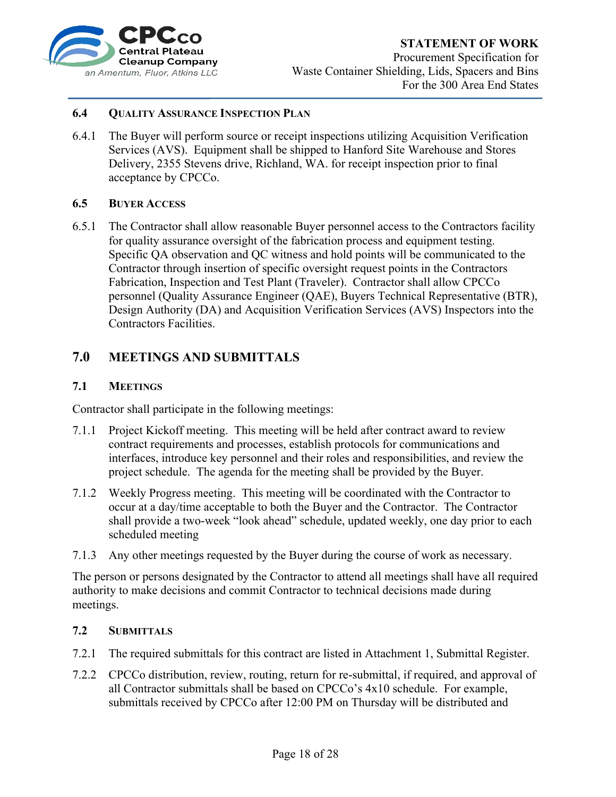

#### **STATEMENT OF WORK**

Procurement Specification for Waste Container Shielding, Lids, Spacers and Bins For the 300 Area End States

#### **6.4 QUALITY ASSURANCE INSPECTION PLAN**

6.4.1 The Buyer will perform source or receipt inspections utilizing Acquisition Verification Services (AVS). Equipment shall be shipped to Hanford Site Warehouse and Stores Delivery, 2355 Stevens drive, Richland, WA. for receipt inspection prior to final acceptance by CPCCo.

#### **6.5 BUYER ACCESS**

6.5.1 The Contractor shall allow reasonable Buyer personnel access to the Contractors facility for quality assurance oversight of the fabrication process and equipment testing. Specific QA observation and QC witness and hold points will be communicated to the Contractor through insertion of specific oversight request points in the Contractors Fabrication, Inspection and Test Plant (Traveler). Contractor shall allow CPCCo personnel (Quality Assurance Engineer (QAE), Buyers Technical Representative (BTR), Design Authority (DA) and Acquisition Verification Services (AVS) Inspectors into the Contractors Facilities.

#### **7.0 MEETINGS AND SUBMITTALS**

#### **7.1 MEETINGS**

Contractor shall participate in the following meetings:

- 7.1.1 Project Kickoff meeting. This meeting will be held after contract award to review contract requirements and processes, establish protocols for communications and interfaces, introduce key personnel and their roles and responsibilities, and review the project schedule. The agenda for the meeting shall be provided by the Buyer.
- 7.1.2 Weekly Progress meeting. This meeting will be coordinated with the Contractor to occur at a day/time acceptable to both the Buyer and the Contractor. The Contractor shall provide a two-week "look ahead" schedule, updated weekly, one day prior to each scheduled meeting
- 7.1.3 Any other meetings requested by the Buyer during the course of work as necessary.

The person or persons designated by the Contractor to attend all meetings shall have all required authority to make decisions and commit Contractor to technical decisions made during meetings.

#### **7.2 SUBMITTALS**

- 7.2.1 The required submittals for this contract are listed in Attachment 1, Submittal Register.
- 7.2.2 CPCCo distribution, review, routing, return for re-submittal, if required, and approval of all Contractor submittals shall be based on CPCCo's 4x10 schedule. For example, submittals received by CPCCo after 12:00 PM on Thursday will be distributed and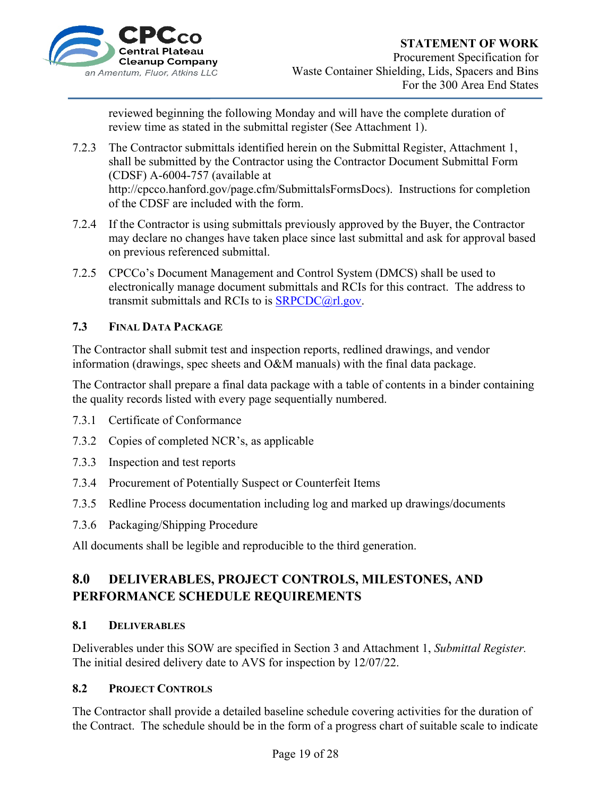

Procurement Specification for Waste Container Shielding, Lids, Spacers and Bins For the 300 Area End States

reviewed beginning the following Monday and will have the complete duration of review time as stated in the submittal register (See Attachment 1).

- 7.2.3 The Contractor submittals identified herein on the Submittal Register, Attachment 1, shall be submitted by the Contractor using the Contractor Document Submittal Form (CDSF) A-6004-757 (available at http://cpcco.hanford.gov/page.cfm/SubmittalsFormsDocs). Instructions for completion of the CDSF are included with the form.
- 7.2.4 If the Contractor is using submittals previously approved by the Buyer, the Contractor may declare no changes have taken place since last submittal and ask for approval based on previous referenced submittal.
- 7.2.5 CPCCo's Document Management and Control System (DMCS) shall be used to electronically manage document submittals and RCIs for this contract. The address to transmit submittals and RCIs to is SRPCDC@rl.gov.

#### **7.3 FINAL DATA PACKAGE**

The Contractor shall submit test and inspection reports, redlined drawings, and vendor information (drawings, spec sheets and O&M manuals) with the final data package.

The Contractor shall prepare a final data package with a table of contents in a binder containing the quality records listed with every page sequentially numbered.

- 7.3.1 Certificate of Conformance
- 7.3.2 Copies of completed NCR's, as applicable
- 7.3.3 Inspection and test reports
- 7.3.4 Procurement of Potentially Suspect or Counterfeit Items
- 7.3.5 Redline Process documentation including log and marked up drawings/documents
- 7.3.6 Packaging/Shipping Procedure

All documents shall be legible and reproducible to the third generation.

## **8.0 DELIVERABLES, PROJECT CONTROLS, MILESTONES, AND PERFORMANCE SCHEDULE REQUIREMENTS**

#### **8.1 DELIVERABLES**

Deliverables under this SOW are specified in Section 3 and Attachment 1, *Submittal Register.* The initial desired delivery date to AVS for inspection by 12/07/22.

#### **8.2 PROJECT CONTROLS**

The Contractor shall provide a detailed baseline schedule covering activities for the duration of the Contract. The schedule should be in the form of a progress chart of suitable scale to indicate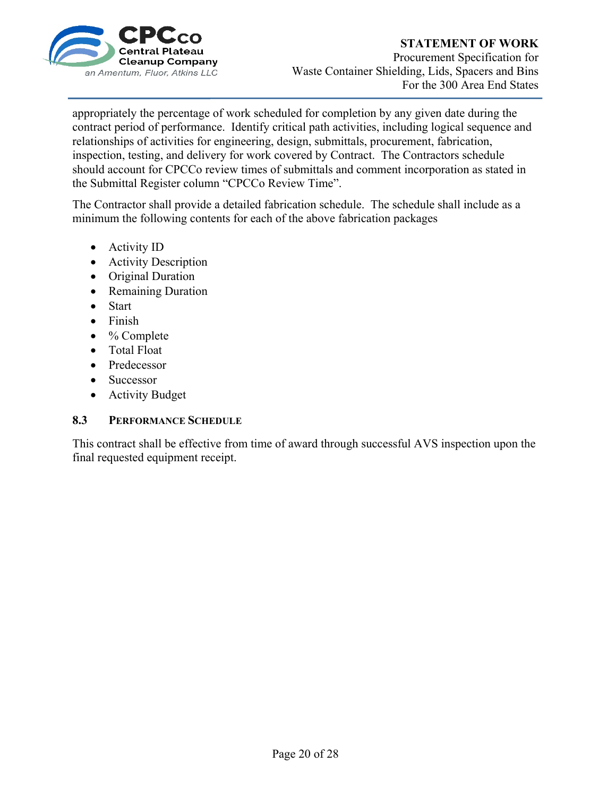

#### **STATEMENT OF WORK**  Procurement Specification for Waste Container Shielding, Lids, Spacers and Bins For the 300 Area End States

appropriately the percentage of work scheduled for completion by any given date during the contract period of performance. Identify critical path activities, including logical sequence and relationships of activities for engineering, design, submittals, procurement, fabrication, inspection, testing, and delivery for work covered by Contract. The Contractors schedule should account for CPCCo review times of submittals and comment incorporation as stated in the Submittal Register column "CPCCo Review Time".

The Contractor shall provide a detailed fabrication schedule. The schedule shall include as a minimum the following contents for each of the above fabrication packages

- Activity ID
- Activity Description
- Original Duration
- Remaining Duration
- Start
- Finish
- % Complete
- Total Float
- Predecessor
- Successor
- Activity Budget

#### **8.3 PERFORMANCE SCHEDULE**

This contract shall be effective from time of award through successful AVS inspection upon the final requested equipment receipt.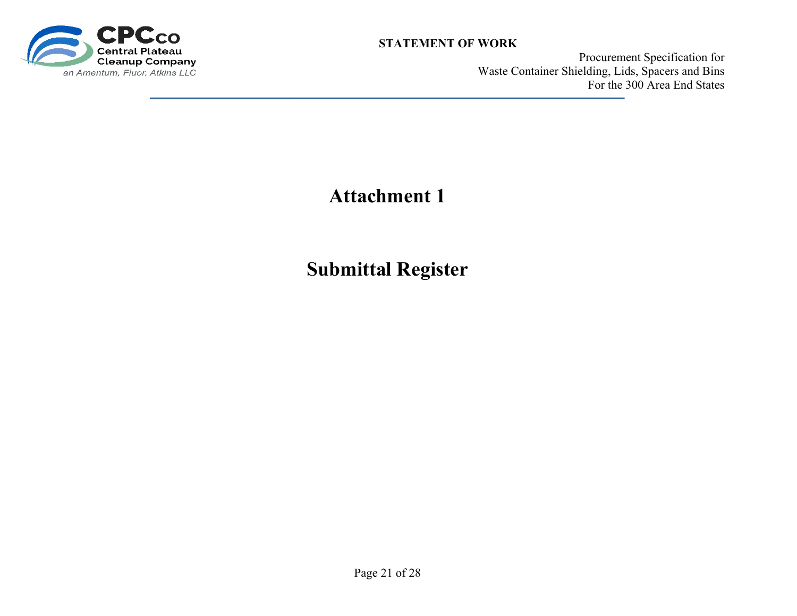

Procurement Specification for Waste Container Shielding, Lids, Spacers and Bins For the 300 Area End States

# **Attachment 1**

**Submittal Register**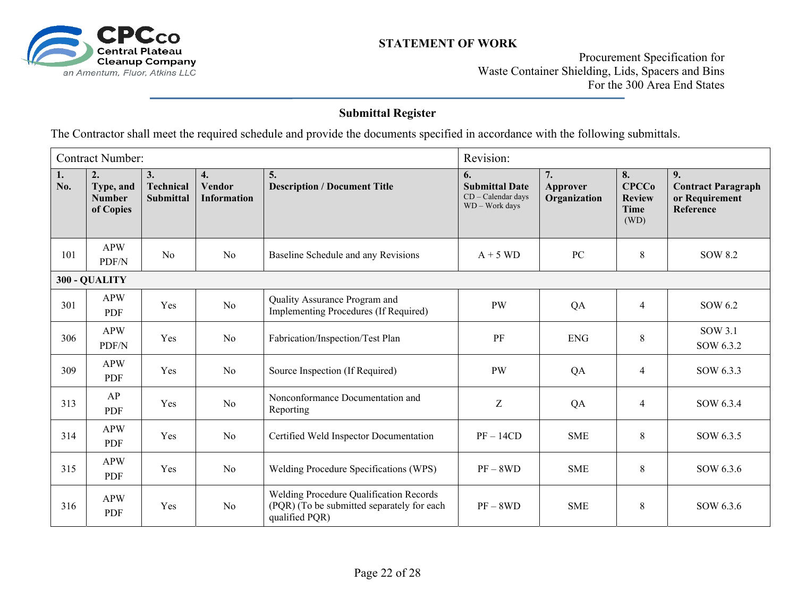

Procurement Specification for Waste Container Shielding, Lids, Spacers and Bins For the 300 Area End States

### **Submittal Register**

The Contractor shall meet the required schedule and provide the documents specified in accordance with the following submittals.

|           | <b>Contract Number:</b>                       |                              |                                           |                                                                                                                |                                                                        | Revision:                      |                                                     |                                                                |  |
|-----------|-----------------------------------------------|------------------------------|-------------------------------------------|----------------------------------------------------------------------------------------------------------------|------------------------------------------------------------------------|--------------------------------|-----------------------------------------------------|----------------------------------------------------------------|--|
| 1.<br>No. | 2.<br>Type, and<br><b>Number</b><br>of Copies | 3.<br>Technical<br>Submittal | 4.<br><b>Vendor</b><br><b>Information</b> | 5.<br><b>Description / Document Title</b>                                                                      | 6.<br><b>Submittal Date</b><br>$CD - Cal$ endar days<br>WD - Work days | 7.<br>Approver<br>Organization | 8.<br><b>CPCCo</b><br><b>Review</b><br>Time<br>(WD) | 9.<br><b>Contract Paragraph</b><br>or Requirement<br>Reference |  |
| 101       | <b>APW</b><br>PDF/N                           | No                           | N <sub>o</sub>                            | Baseline Schedule and any Revisions                                                                            | $A + 5 WD$                                                             | PC                             | 8                                                   | SOW 8.2                                                        |  |
|           | 300 - QUALITY                                 |                              |                                           |                                                                                                                |                                                                        |                                |                                                     |                                                                |  |
| 301       | <b>APW</b><br>PDF                             | Yes                          | N <sub>o</sub>                            | Quality Assurance Program and<br><b>Implementing Procedures (If Required)</b>                                  | <b>PW</b>                                                              | QA                             | $\overline{4}$                                      | SOW 6.2                                                        |  |
| 306       | <b>APW</b><br>PDF/N                           | Yes                          | No                                        | Fabrication/Inspection/Test Plan                                                                               | PF                                                                     | <b>ENG</b>                     | $\,8\,$                                             | SOW 3.1<br>SOW 6.3.2                                           |  |
| 309       | <b>APW</b><br>PDF                             | Yes                          | No                                        | Source Inspection (If Required)                                                                                | <b>PW</b>                                                              | QA                             | $\overline{4}$                                      | SOW 6.3.3                                                      |  |
| 313       | AP<br>PDF                                     | Yes                          | No                                        | Nonconformance Documentation and<br>Reporting                                                                  | Z                                                                      | QA                             | $\overline{4}$                                      | SOW 6.3.4                                                      |  |
| 314       | <b>APW</b><br>PDF                             | Yes                          | No                                        | Certified Weld Inspector Documentation                                                                         | $PF-14CD$                                                              | <b>SME</b>                     | 8                                                   | SOW 6.3.5                                                      |  |
| 315       | <b>APW</b><br>PDF                             | Yes                          | No                                        | Welding Procedure Specifications (WPS)                                                                         | $PF - 8WD$                                                             | <b>SME</b>                     | 8                                                   | SOW 6.3.6                                                      |  |
| 316       | <b>APW</b><br>PDF                             | Yes                          | N <sub>o</sub>                            | <b>Welding Procedure Qualification Records</b><br>(PQR) (To be submitted separately for each<br>qualified PQR) | $PF - 8WD$                                                             | <b>SME</b>                     | 8                                                   | SOW 6.3.6                                                      |  |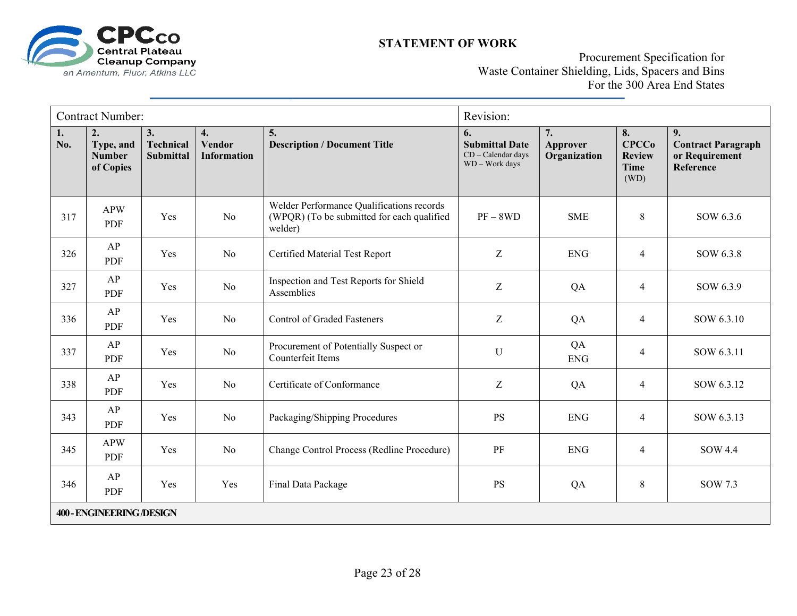

Procurement Specification for Waste Container Shielding, Lids, Spacers and Bins For the 300 Area End States

|           | <b>Contract Number:</b>                                     |                              |                                           |                                                                                                    | Revision:                                                           |                                |                                                            |                                                                |
|-----------|-------------------------------------------------------------|------------------------------|-------------------------------------------|----------------------------------------------------------------------------------------------------|---------------------------------------------------------------------|--------------------------------|------------------------------------------------------------|----------------------------------------------------------------|
| 1.<br>No. | $\overline{2}$ .<br>Type, and<br><b>Number</b><br>of Copies | 3.<br>Technical<br>Submittal | 4.<br><b>Vendor</b><br><b>Information</b> | 5.<br><b>Description / Document Title</b>                                                          | 6.<br><b>Submittal Date</b><br>CD - Calendar days<br>WD - Work days | 7.<br>Approver<br>Organization | 8.<br><b>CPCCo</b><br><b>Review</b><br><b>Time</b><br>(WD) | 9.<br><b>Contract Paragraph</b><br>or Requirement<br>Reference |
| 317       | <b>APW</b><br>PDF                                           | Yes                          | N <sub>o</sub>                            | Welder Performance Qualifications records<br>(WPQR) (To be submitted for each qualified<br>welder) | $PF - 8WD$                                                          | <b>SME</b>                     | 8                                                          | SOW 6.3.6                                                      |
| 326       | AP<br>PDF                                                   | Yes                          | No                                        | Certified Material Test Report                                                                     | $\boldsymbol{Z}$                                                    | <b>ENG</b>                     | $\overline{4}$                                             | SOW 6.3.8                                                      |
| 327       | AP<br><b>PDF</b>                                            | Yes                          | N <sub>o</sub>                            | Inspection and Test Reports for Shield<br>Assemblies                                               | Z                                                                   | QA                             | $\overline{4}$                                             | SOW 6.3.9                                                      |
| 336       | AP<br>PDF                                                   | Yes                          | N <sub>o</sub>                            | <b>Control of Graded Fasteners</b>                                                                 | Z                                                                   | QA                             | $\overline{4}$                                             | SOW 6.3.10                                                     |
| 337       | AP<br>PDF                                                   | Yes                          | No                                        | Procurement of Potentially Suspect or<br>Counterfeit Items                                         | $\mathbf U$                                                         | QA<br><b>ENG</b>               | $\overline{\mathcal{A}}$                                   | SOW 6.3.11                                                     |
| 338       | AP<br>PDF                                                   | Yes                          | N <sub>o</sub>                            | Certificate of Conformance                                                                         | Z                                                                   | QA                             | $\overline{4}$                                             | SOW 6.3.12                                                     |
| 343       | AP<br>PDF                                                   | Yes                          | No                                        | Packaging/Shipping Procedures                                                                      | <b>PS</b>                                                           | <b>ENG</b>                     | $\overline{4}$                                             | SOW 6.3.13                                                     |
| 345       | <b>APW</b><br>PDF                                           | Yes                          | No                                        | Change Control Process (Redline Procedure)                                                         | PF                                                                  | <b>ENG</b>                     | $\overline{4}$                                             | <b>SOW 4.4</b>                                                 |
| 346       | AP<br>PDF                                                   | Yes                          | Yes                                       | Final Data Package                                                                                 | <b>PS</b>                                                           | QA                             | $\,8\,$                                                    | SOW 7.3                                                        |
|           | <b>400 - ENGINEERING/DESIGN</b>                             |                              |                                           |                                                                                                    |                                                                     |                                |                                                            |                                                                |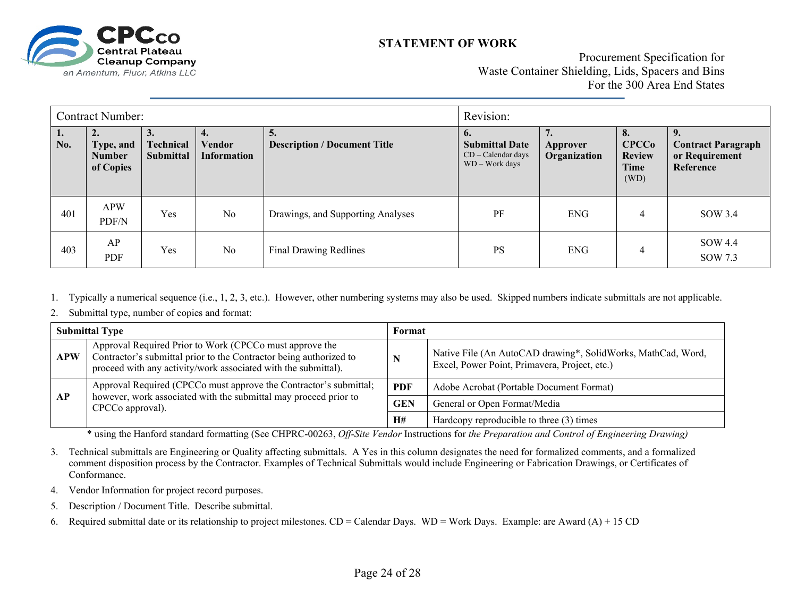

#### **STATEMENT OF WORK**

Procurement Specification for Waste Container Shielding, Lids, Spacers and Bins For the 300 Area End States

| <b>Contract Number:</b> |                                               |                                          |                              | Revision:                                 |                                                                       |                          |                                                     |                                                          |
|-------------------------|-----------------------------------------------|------------------------------------------|------------------------------|-------------------------------------------|-----------------------------------------------------------------------|--------------------------|-----------------------------------------------------|----------------------------------------------------------|
| 1.<br>No.               | 2.<br>Type, and<br><b>Number</b><br>of Copies | $\mathbf{J}$ .<br>Technical<br>Submittal | Vendor<br><b>Information</b> | 5.<br><b>Description / Document Title</b> | o.<br><b>Submittal Date</b><br>$CD - Calendar days$<br>WD - Work days | Approver<br>Organization | 8.<br><b>CPCCo</b><br><b>Review</b><br>Time<br>(WD) | <b>Contract Paragraph</b><br>or Requirement<br>Reference |
| 401                     | APW<br>PDF/N                                  | Yes                                      | No                           | Drawings, and Supporting Analyses         | PF                                                                    | <b>ENG</b>               | $\overline{4}$                                      | SOW 3.4                                                  |
| 403                     | AP<br>PDF                                     | Yes                                      | No                           | <b>Final Drawing Redlines</b>             | <b>PS</b>                                                             | <b>ENG</b>               | 4                                                   | SOW 4.4<br>SOW 7.3                                       |

- 1.Typically a numerical sequence (i.e., 1, 2, 3, etc.). However, other numbering systems may also be used. Skipped numbers indicate submittals are not applicable.
- 2.Submittal type, number of copies and format:

| <b>Submittal Type</b> |                                                                                                                                                                                                 | Format |                                                                                                               |  |
|-----------------------|-------------------------------------------------------------------------------------------------------------------------------------------------------------------------------------------------|--------|---------------------------------------------------------------------------------------------------------------|--|
| <b>APW</b>            | Approval Required Prior to Work (CPCCo must approve the<br>Contractor's submittal prior to the Contractor being authorized to<br>proceed with any activity/work associated with the submittal). | N      | Native File (An AutoCAD drawing*, SolidWorks, MathCad, Word,<br>Excel, Power Point, Primavera, Project, etc.) |  |
| AP                    | Approval Required (CPCCo must approve the Contractor's submittal;<br>however, work associated with the submittal may proceed prior to<br>CPCCo approval).                                       |        | Adobe Acrobat (Portable Document Format)                                                                      |  |
|                       |                                                                                                                                                                                                 |        | General or Open Format/Media                                                                                  |  |
|                       |                                                                                                                                                                                                 | H#     | Hardcopy reproducible to three (3) times                                                                      |  |

\* using the Hanford standard formatting (See CHPRC-00263, *Off-Site Vendor* Instructions for *the Preparation and Control of Engineering Drawing)*

3. Technical submittals are Engineering or Quality affecting submittals. A Yes in this column designates the need for formalized comments, and a formalized comment disposition process by the Contractor. Examples of Technical Submittals would include Engineering or Fabrication Drawings, or Certificates of Conformance.

- 4. Vendor Information for project record purposes.
- 5.Description / Document Title. Describe submittal.
- 6.Required submittal date or its relationship to project milestones.  $CD =$  Calendar Days. WD = Work Days. Example: are Award (A) + 15 CD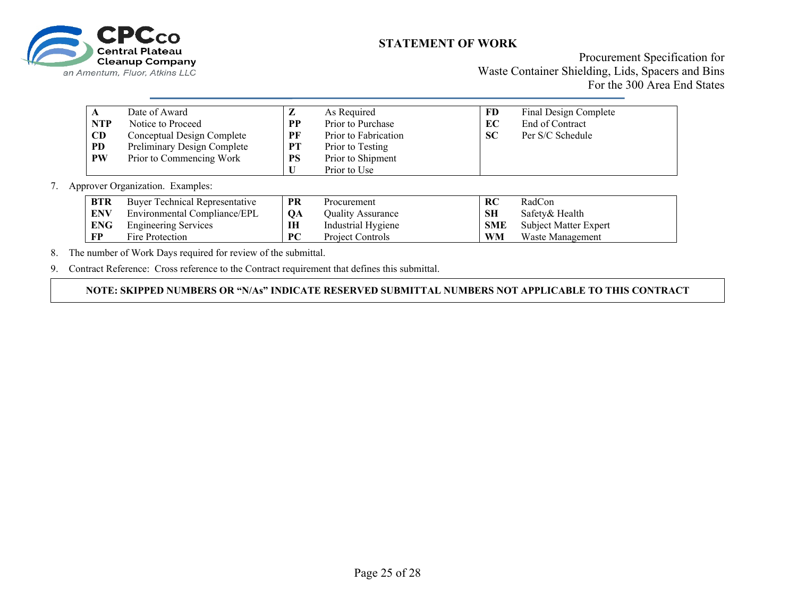

Procurement Specification for Waste Container Shielding, Lids, Spacers and Bins For the 300 Area End States

|            | Date of Award               | $\overline{ }$ | As Required          | <b>FD</b> | Final Design Complete |
|------------|-----------------------------|----------------|----------------------|-----------|-----------------------|
| <b>NTP</b> | Notice to Proceed           | <b>PP</b>      | Prior to Purchase    | EC        | End of Contract       |
| <b>CD</b>  | Conceptual Design Complete  | PF             | Prior to Fabrication | <b>SC</b> | Per S/C Schedule      |
| PD.        | Preliminary Design Complete | PT             | Prior to Testing     |           |                       |
| <b>PW</b>  | Prior to Commencing Work    | <b>PS</b>      | Prior to Shipment    |           |                       |
|            |                             |                | Prior to Use         |           |                       |

7. Approver Organization. Examples:

| <b>BTR</b> | <b>Buver Technical Representative</b> | <b>PR</b> | Procurement              | RC         | RadCon                |
|------------|---------------------------------------|-----------|--------------------------|------------|-----------------------|
| <b>ENV</b> | Environmental Compliance/EPL          | <b>OA</b> | <b>Ouality Assurance</b> | <b>SH</b>  | Safety & Health       |
| <b>ENG</b> | <b>Engineering Services</b>           | IH        | Industrial Hygiene       | <b>SMF</b> | Subject Matter Expert |
| FP         | Fire Protection                       | <b>PC</b> | Project Controls         | WM         | Waste Management      |

8.The number of Work Days required for review of the submittal.

9. Contract Reference: Cross reference to the Contract requirement that defines this submittal.

**NOTE: SKIPPED NUMBERS OR "N/As" INDICATE RESERVED SUBMITTAL NUMBERS NOT APPLICABLE TO THIS CONTRACT**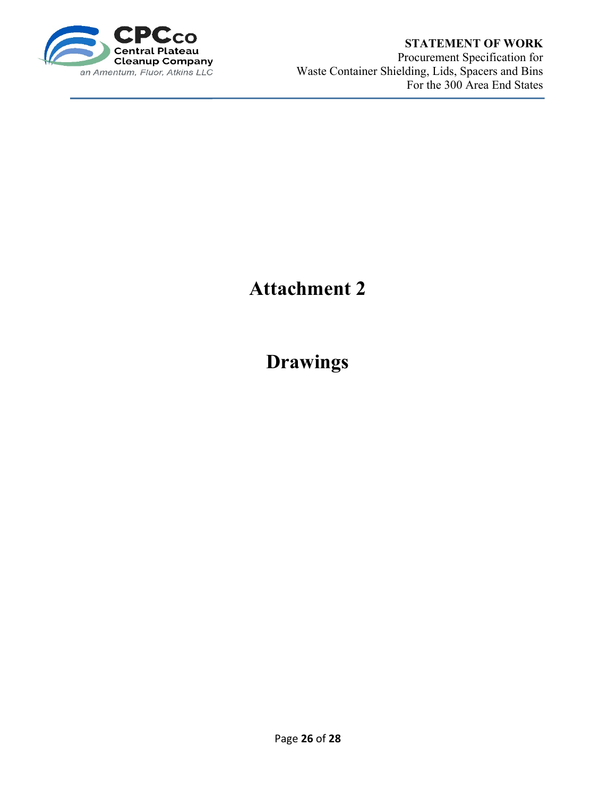

#### **STATEMENT OF WORK**

Procurement Specification for Waste Container Shielding, Lids, Spacers and Bins For the 300 Area End States

# **Attachment 2**

# **Drawings**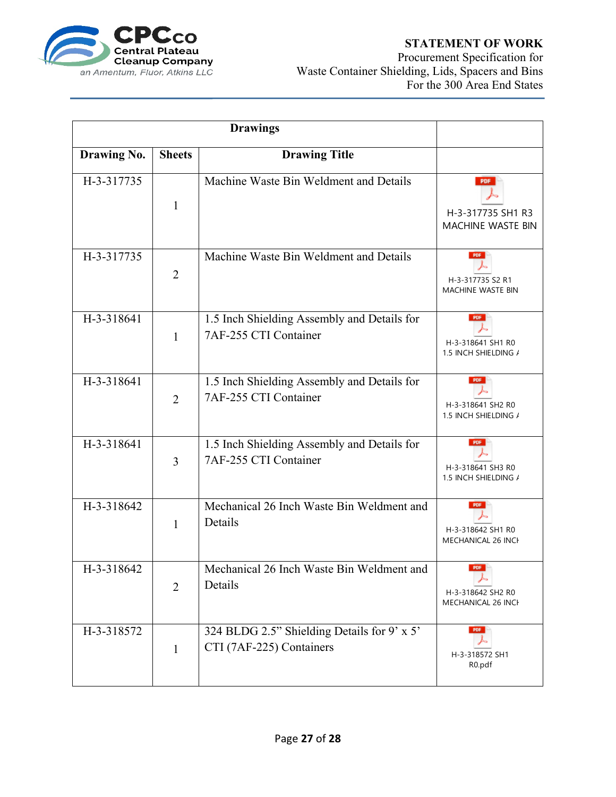

#### **STATEMENT OF WORK**

Procurement Specification for Waste Container Shielding, Lids, Spacers and Bins For the 300 Area End States

|                    |                | <b>Drawings</b>                                                         |                                                      |
|--------------------|----------------|-------------------------------------------------------------------------|------------------------------------------------------|
| <b>Drawing No.</b> | <b>Sheets</b>  | <b>Drawing Title</b>                                                    |                                                      |
| H-3-317735         | $\mathbf{1}$   | Machine Waste Bin Weldment and Details                                  | <b>PDF</b><br>H-3-317735 SH1 R3<br>MACHINE WASTE BIN |
| H-3-317735         | $\overline{2}$ | Machine Waste Bin Weldment and Details                                  | PDF<br>H-3-317735 S2 R1<br>MACHINE WASTE BIN         |
| H-3-318641         | $\mathbf{1}$   | 1.5 Inch Shielding Assembly and Details for<br>7AF-255 CTI Container    | PDF<br>H-3-318641 SH1 R0<br>1.5 INCH SHIELDING /     |
| H-3-318641         | $\overline{2}$ | 1.5 Inch Shielding Assembly and Details for<br>7AF-255 CTI Container    | PDF<br>H-3-318641 SH2 R0<br>1.5 INCH SHIELDING /     |
| H-3-318641         | 3              | 1.5 Inch Shielding Assembly and Details for<br>7AF-255 CTI Container    | PDF<br>H-3-318641 SH3 R0<br>1.5 INCH SHIELDING /     |
| H-3-318642         | $\mathbf{1}$   | Mechanical 26 Inch Waste Bin Weldment and<br>Details                    | PDF<br>H-3-318642 SH1 R0<br>MECHANICAL 26 INCH       |
| H-3-318642         | $\overline{2}$ | Mechanical 26 Inch Waste Bin Weldment and<br>Details                    | PDF<br>H-3-318642 SH2 R0<br>MECHANICAL 26 INCH       |
| H-3-318572         | 1              | 324 BLDG 2.5" Shielding Details for 9' x 5'<br>CTI (7AF-225) Containers | PDF<br>H-3-318572 SH1<br>R <sub>0.pdf</sub>          |